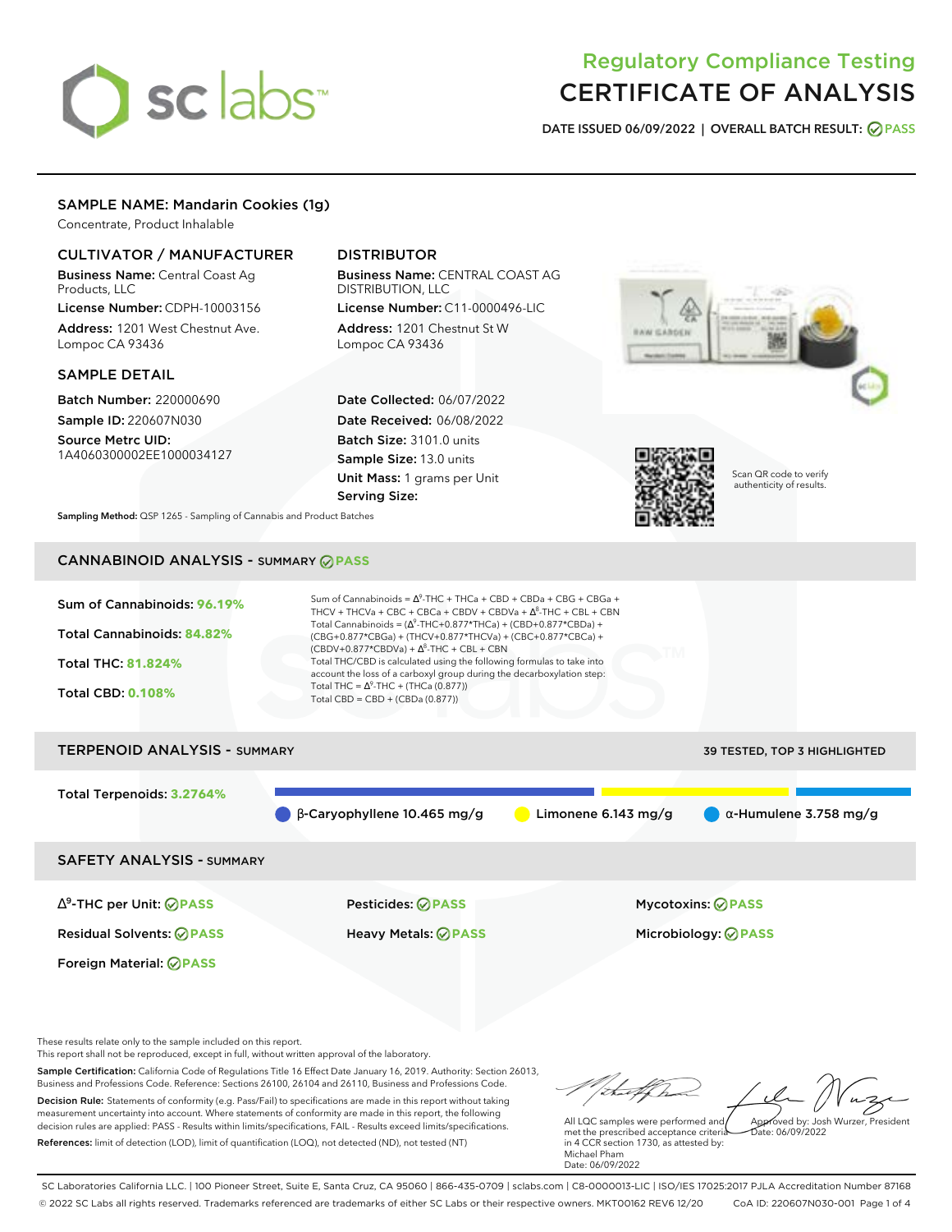# sclabs<sup>\*</sup>

# Regulatory Compliance Testing CERTIFICATE OF ANALYSIS

**DATE ISSUED 06/09/2022 | OVERALL BATCH RESULT: PASS**

# SAMPLE NAME: Mandarin Cookies (1g)

Concentrate, Product Inhalable

# CULTIVATOR / MANUFACTURER

Business Name: Central Coast Ag Products, LLC

License Number: CDPH-10003156 Address: 1201 West Chestnut Ave. Lompoc CA 93436

## SAMPLE DETAIL

Batch Number: 220000690 Sample ID: 220607N030

Source Metrc UID: 1A4060300002EE1000034127

# DISTRIBUTOR

Business Name: CENTRAL COAST AG DISTRIBUTION, LLC

License Number: C11-0000496-LIC Address: 1201 Chestnut St W Lompoc CA 93436

Date Collected: 06/07/2022 Date Received: 06/08/2022 Batch Size: 3101.0 units Sample Size: 13.0 units Unit Mass: 1 grams per Unit Serving Size:





Scan QR code to verify authenticity of results.

**Sampling Method:** QSP 1265 - Sampling of Cannabis and Product Batches

# CANNABINOID ANALYSIS - SUMMARY **PASS**

| Sum of Cannabinoids: 96.19% | Sum of Cannabinoids = $\Delta^9$ -THC + THCa + CBD + CBDa + CBG + CBGa +<br>THCV + THCVa + CBC + CBCa + CBDV + CBDVa + $\Delta^8$ -THC + CBL + CBN                                       |
|-----------------------------|------------------------------------------------------------------------------------------------------------------------------------------------------------------------------------------|
| Total Cannabinoids: 84.82%  | Total Cannabinoids = $(\Delta^9$ -THC+0.877*THCa) + (CBD+0.877*CBDa) +<br>(CBG+0.877*CBGa) + (THCV+0.877*THCVa) + (CBC+0.877*CBCa) +<br>$(CBDV+0.877*CBDVa) + \Delta^8$ -THC + CBL + CBN |
| <b>Total THC: 81.824%</b>   | Total THC/CBD is calculated using the following formulas to take into<br>account the loss of a carboxyl group during the decarboxylation step:                                           |
| <b>Total CBD: 0.108%</b>    | Total THC = $\Delta^9$ -THC + (THCa (0.877))<br>Total CBD = $CBD + (CBDa (0.877))$                                                                                                       |
|                             |                                                                                                                                                                                          |

# TERPENOID ANALYSIS - SUMMARY **39 TESTED, TOP 3 HIGHLIGHTED** Total Terpenoids: **3.2764%**  $\beta$ -Caryophyllene 10.465 mg/g **C** Limonene 6.143 mg/g  $\alpha$ -Humulene 3.758 mg/g

SAFETY ANALYSIS - SUMMARY

∆ 9 -THC per Unit: **PASS** Pesticides: **PASS** Mycotoxins: **PASS**

Foreign Material: **PASS**

Residual Solvents: **PASS** Heavy Metals: **PASS** Microbiology: **PASS**

These results relate only to the sample included on this report.

This report shall not be reproduced, except in full, without written approval of the laboratory.

Sample Certification: California Code of Regulations Title 16 Effect Date January 16, 2019. Authority: Section 26013, Business and Professions Code. Reference: Sections 26100, 26104 and 26110, Business and Professions Code. Decision Rule: Statements of conformity (e.g. Pass/Fail) to specifications are made in this report without taking measurement uncertainty into account. Where statements of conformity are made in this report, the following decision rules are applied: PASS - Results within limits/specifications, FAIL - Results exceed limits/specifications.

References: limit of detection (LOD), limit of quantification (LOQ), not detected (ND), not tested (NT)

Approved by: Josh Wurzer, President

 $ate: 06/09/2022$ 

All LQC samples were performed and met the prescribed acceptance criteria in 4 CCR section 1730, as attested by: Michael Pham Date: 06/09/2022

SC Laboratories California LLC. | 100 Pioneer Street, Suite E, Santa Cruz, CA 95060 | 866-435-0709 | sclabs.com | C8-0000013-LIC | ISO/IES 17025:2017 PJLA Accreditation Number 87168 © 2022 SC Labs all rights reserved. Trademarks referenced are trademarks of either SC Labs or their respective owners. MKT00162 REV6 12/20 CoA ID: 220607N030-001 Page 1 of 4